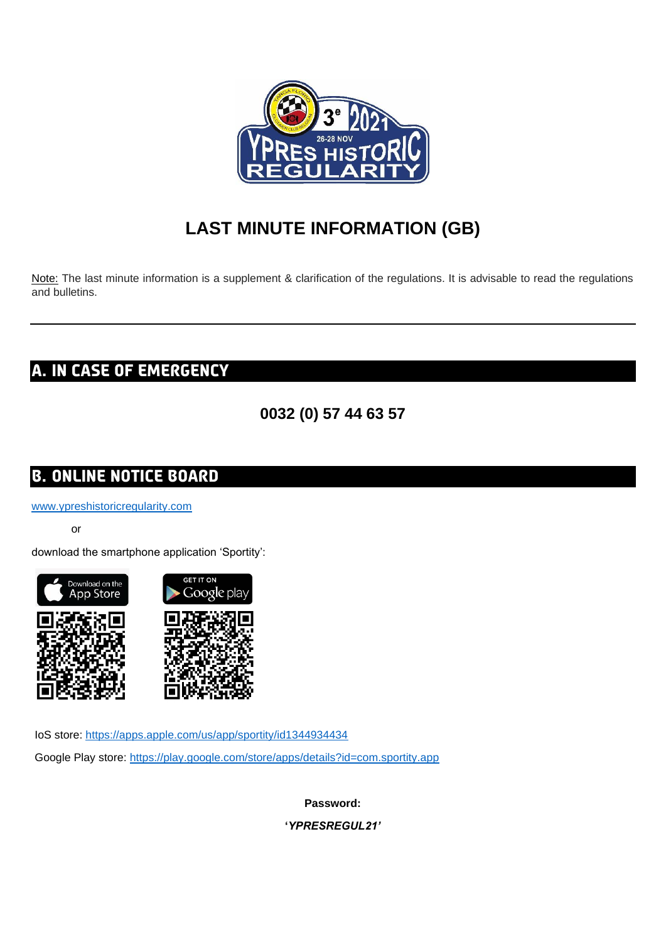

# **LAST MINUTE INFORMATION (GB)**

Note: The last minute information is a supplement & clarification of the regulations. It is advisable to read the regulations and bulletins.

# **A. IN CASE OF EMERGENCY**

# **0032 (0) 57 44 63 57**

# **B. ONLINE NOTICE BOARD**

[www.ypreshistoricregularity.com](http://www.ypreshistoricregularity.com/)

or

download the smartphone application 'Sportity':





IoS store:<https://apps.apple.com/us/app/sportity/id1344934434>

Google Play store:<https://play.google.com/store/apps/details?id=com.sportity.app>

**Password:**

**'***YPRESREGUL21'*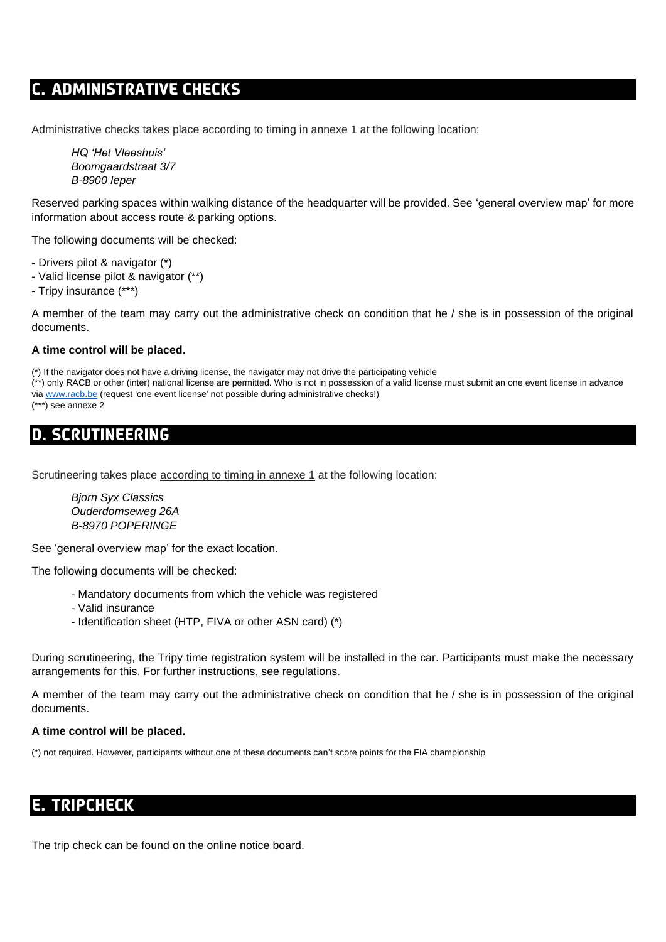# **C. ADMINISTRATIVE CHECKS**

Administrative checks takes place according to timing in annexe 1 at the following location:

*HQ 'Het Vleeshuis' Boomgaardstraat 3/7 B-8900 Ieper*

Reserved parking spaces within walking distance of the headquarter will be provided. See 'general overview map' for more information about access route & parking options.

The following documents will be checked:

- Drivers pilot & navigator (\*)
- Valid license pilot & navigator (\*\*)
- Tripy insurance (\*\*\*)

A member of the team may carry out the administrative check on condition that he / she is in possession of the original documents.

#### **A time control will be placed.**

(\*) If the navigator does not have a driving license, the navigator may not drive the participating vehicle

(\*\*) only RACB or other (inter) national license are permitted. Who is not in possession of a valid license must submit an one event license in advance via [www.racb.be](http://www.racb.be/) (request 'one event license' not possible during administrative checks!)

(\*\*\*) see annexe 2

### **D. SCRUTINEERING**

Scrutineering takes place according to timing in annexe 1 at the following location:

*Bjorn Syx Classics Ouderdomseweg 26A B-8970 POPERINGE*

See 'general overview map' for the exact location.

The following documents will be checked:

- Mandatory documents from which the vehicle was registered
- Valid insurance
- Identification sheet (HTP, FIVA or other ASN card) (\*)

During scrutineering, the Tripy time registration system will be installed in the car. Participants must make the necessary arrangements for this. For further instructions, see regulations.

A member of the team may carry out the administrative check on condition that he / she is in possession of the original documents.

#### **A time control will be placed.**

(\*) not required. However, participants without one of these documents can't score points for the FIA championship

### **E. TRIPCHECK**

The trip check can be found on the online notice board.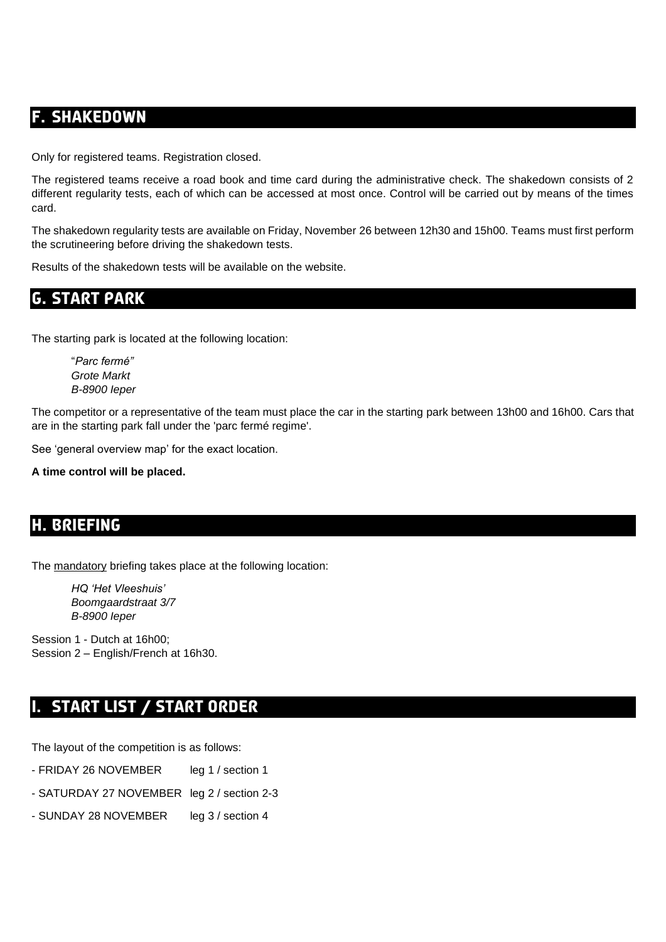# **F. SHAKEDOWN**

Only for registered teams. Registration closed.

The registered teams receive a road book and time card during the administrative check. The shakedown consists of 2 different regularity tests, each of which can be accessed at most once. Control will be carried out by means of the times card.

The shakedown regularity tests are available on Friday, November 26 between 12h30 and 15h00. Teams must first perform the scrutineering before driving the shakedown tests.

Results of the shakedown tests will be available on the website.

### **G. START PARK**

The starting park is located at the following location:

"*Parc fermé" Grote Markt B-8900 Ieper*

The competitor or a representative of the team must place the car in the starting park between 13h00 and 16h00. Cars that are in the starting park fall under the 'parc fermé regime'.

See 'general overview map' for the exact location.

**A time control will be placed.**

### **H. BRIEFING**

The mandatory briefing takes place at the following location:

*HQ 'Het Vleeshuis' Boomgaardstraat 3/7 B-8900 Ieper*

Session 1 - Dutch at 16h00; Session 2 – English/French at 16h30.

### **I. START LIST / START ORDER**

The layout of the competition is as follows:

- FRIDAY 26 NOVEMBER leg 1 / section 1
- SATURDAY 27 NOVEMBER leg 2 / section 2-3
- SUNDAY 28 NOVEMBER leg 3 / section 4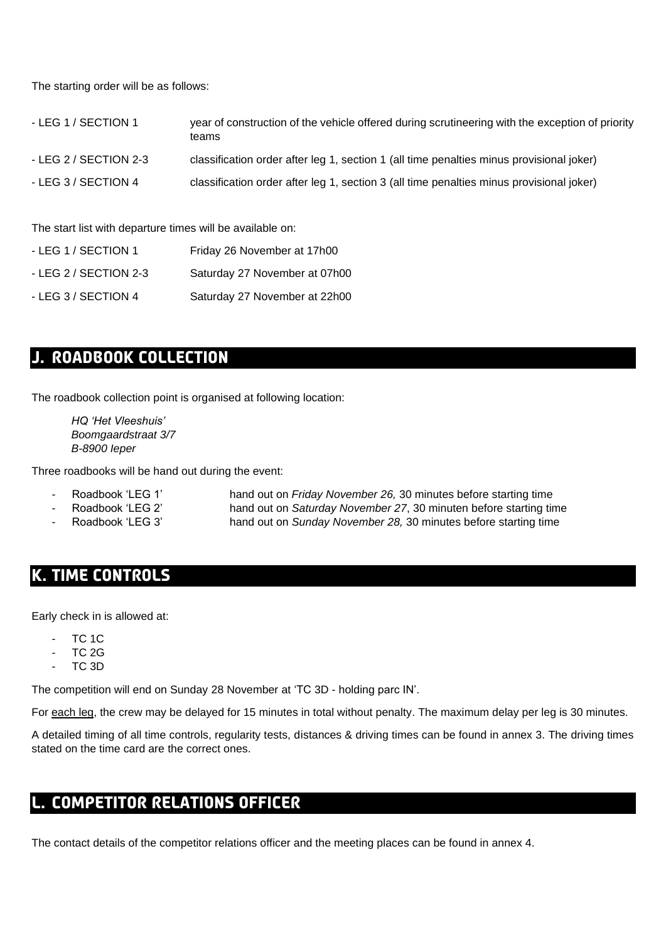The starting order will be as follows:

| - LEG 1 / SECTION 1   | year of construction of the vehicle offered during scrutineering with the exception of priority<br>teams |
|-----------------------|----------------------------------------------------------------------------------------------------------|
| - LEG 2 / SECTION 2-3 | classification order after leg 1, section 1 (all time penalties minus provisional joker)                 |
| - LEG 3 / SECTION 4   | classification order after leg 1, section 3 (all time penalties minus provisional joker)                 |

The start list with departure times will be available on:

| - LEG 1 / SECTION 1   | Friday 26 November at 17h00   |
|-----------------------|-------------------------------|
| - LEG 2 / SECTION 2-3 | Saturday 27 November at 07h00 |
| - LEG 3 / SECTION 4   | Saturday 27 November at 22h00 |

### **J. ROADBOOK COLLECTION**

The roadbook collection point is organised at following location:

*HQ 'Het Vleeshuis' Boomgaardstraat 3/7 B-8900 Ieper*

Three roadbooks will be hand out during the event:

- 
- 
- 

- Roadbook 'LEG 1' hand out on *Friday November 26,* 30 minutes before starting time - Roadbook 'LEG 2' hand out on *Saturday November 27*, 30 minuten before starting time - Roadbook 'LEG 3' hand out on *Sunday November 28,* 30 minutes before starting time

### **K. TIME CONTROLS**

Early check in is allowed at:

- **TC 1C**
- TC 2G
- TC 3D

The competition will end on Sunday 28 November at 'TC 3D - holding parc IN'.

For each leg, the crew may be delayed for 15 minutes in total without penalty. The maximum delay per leg is 30 minutes.

A detailed timing of all time controls, regularity tests, distances & driving times can be found in annex 3. The driving times stated on the time card are the correct ones.

### **L. COMPETITOR RELATIONS OFFICER**

The contact details of the competitor relations officer and the meeting places can be found in annex 4.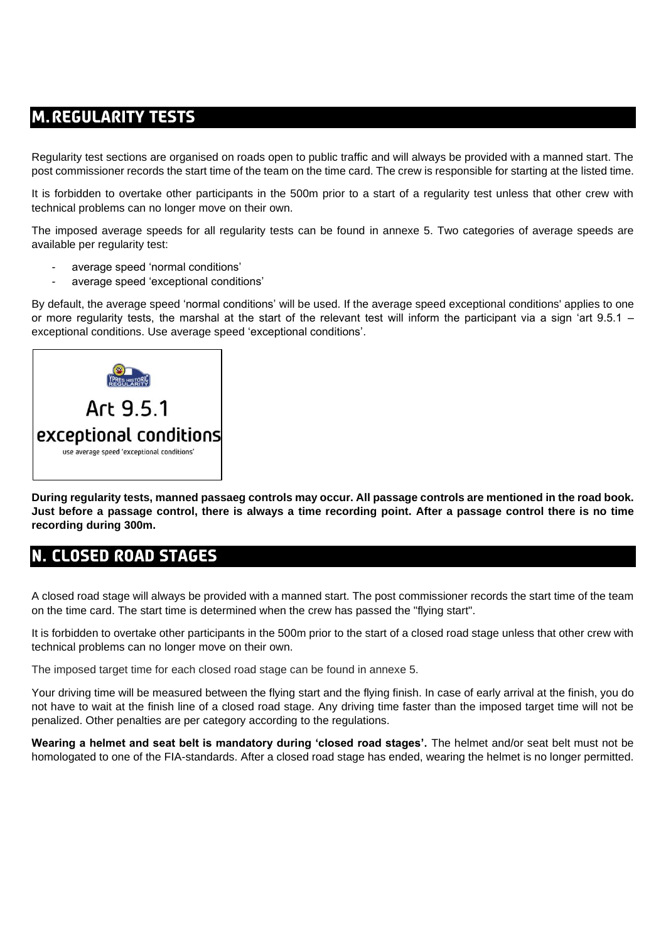# **M.REGULARITY TESTS**

Regularity test sections are organised on roads open to public traffic and will always be provided with a manned start. The post commissioner records the start time of the team on the time card. The crew is responsible for starting at the listed time.

It is forbidden to overtake other participants in the 500m prior to a start of a regularity test unless that other crew with technical problems can no longer move on their own.

The imposed average speeds for all regularity tests can be found in annexe 5. Two categories of average speeds are available per regularity test:

- average speed 'normal conditions'
- average speed 'exceptional conditions'

By default, the average speed 'normal conditions' will be used. If the average speed exceptional conditions' applies to one or more regularity tests, the marshal at the start of the relevant test will inform the participant via a sign 'art  $9.5.1$  – exceptional conditions. Use average speed 'exceptional conditions'.



**During regularity tests, manned passaeg controls may occur. All passage controls are mentioned in the road book. Just before a passage control, there is always a time recording point. After a passage control there is no time recording during 300m.**

## **N. CLOSED ROAD STAGES**

A closed road stage will always be provided with a manned start. The post commissioner records the start time of the team on the time card. The start time is determined when the crew has passed the "flying start".

It is forbidden to overtake other participants in the 500m prior to the start of a closed road stage unless that other crew with technical problems can no longer move on their own.

The imposed target time for each closed road stage can be found in annexe 5.

Your driving time will be measured between the flying start and the flying finish. In case of early arrival at the finish, you do not have to wait at the finish line of a closed road stage. Any driving time faster than the imposed target time will not be penalized. Other penalties are per category according to the regulations.

**Wearing a helmet and seat belt is mandatory during 'closed road stages'.** The helmet and/or seat belt must not be homologated to one of the FIA-standards. After a closed road stage has ended, wearing the helmet is no longer permitted.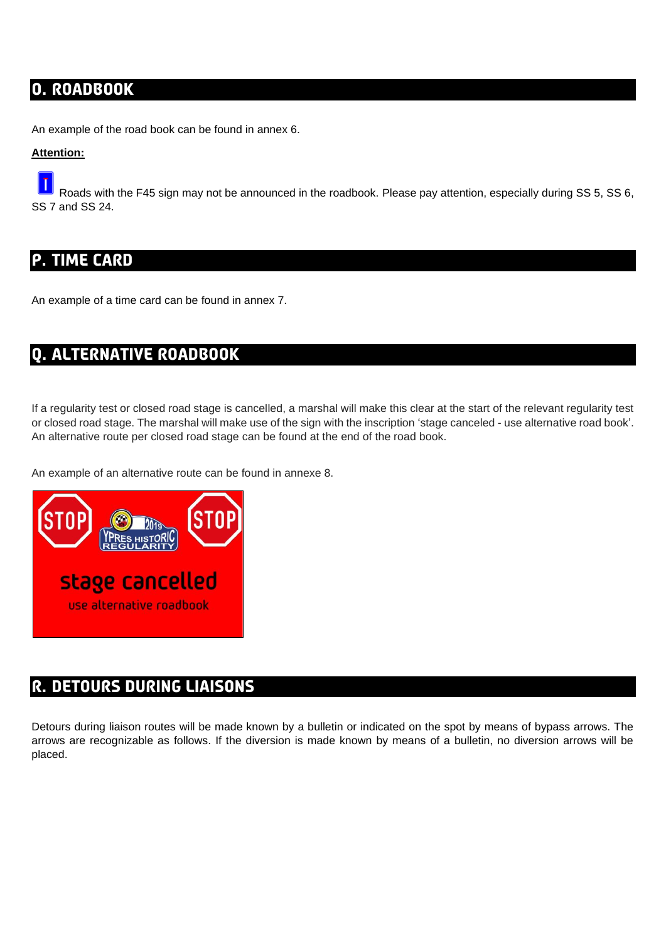# **O. ROADBOOK**

An example of the road book can be found in annex 6.

#### **Attention:**

Roads with the F45 sign may not be announced in the roadbook. Please pay attention, especially during SS 5, SS 6, SS 7 and SS 24.

### **P. TIME CARD**

An example of a time card can be found in annex 7.

# **Q. ALTERNATIVE ROADBOOK**

If a regularity test or closed road stage is cancelled, a marshal will make this clear at the start of the relevant regularity test or closed road stage. The marshal will make use of the sign with the inscription 'stage canceled - use alternative road book'. An alternative route per closed road stage can be found at the end of the road book.

An example of an alternative route can be found in annexe 8.



# **R. DETOURS DURING LIAISONS**

Detours during liaison routes will be made known by a bulletin or indicated on the spot by means of bypass arrows. The arrows are recognizable as follows. If the diversion is made known by means of a bulletin, no diversion arrows will be placed.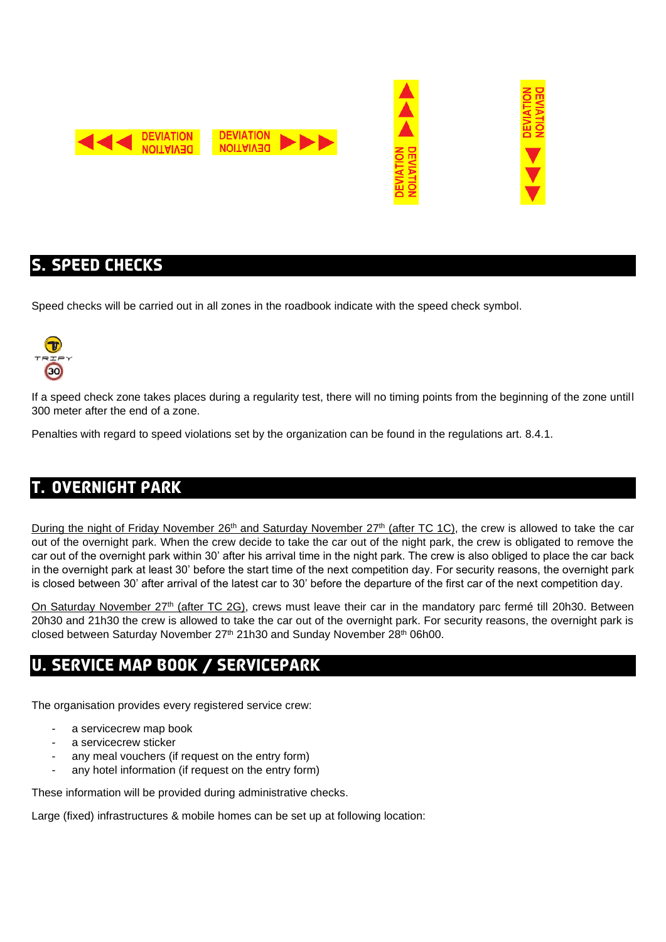





# **S. SPEED CHECKS**

Speed checks will be carried out in all zones in the roadbook indicate with the speed check symbol.



If a speed check zone takes places during a regularity test, there will no timing points from the beginning of the zone untill 300 meter after the end of a zone.

Penalties with regard to speed violations set by the organization can be found in the regulations art. 8.4.1.

# **T. OVERNIGHT PARK**

During the night of Friday November 26<sup>th</sup> and Saturday November 27<sup>th</sup> (after TC 1C), the crew is allowed to take the car out of the overnight park. When the crew decide to take the car out of the night park, the crew is obligated to remove the car out of the overnight park within 30' after his arrival time in the night park. The crew is also obliged to place the car back in the overnight park at least 30' before the start time of the next competition day. For security reasons, the overnight park is closed between 30' after arrival of the latest car to 30' before the departure of the first car of the next competition day.

On Saturday November 27th (after TC 2G), crews must leave their car in the mandatory parc fermé till 20h30. Between 20h30 and 21h30 the crew is allowed to take the car out of the overnight park. For security reasons, the overnight park is closed between Saturday November 27<sup>th</sup> 21h30 and Sunday November 28<sup>th</sup> 06h00.

## **U. SERVICE MAP BOOK / SERVICEPARK**

The organisation provides every registered service crew:

- a servicecrew map book
- a servicecrew sticker
- any meal vouchers (if request on the entry form)
- any hotel information (if request on the entry form)

These information will be provided during administrative checks.

Large (fixed) infrastructures & mobile homes can be set up at following location: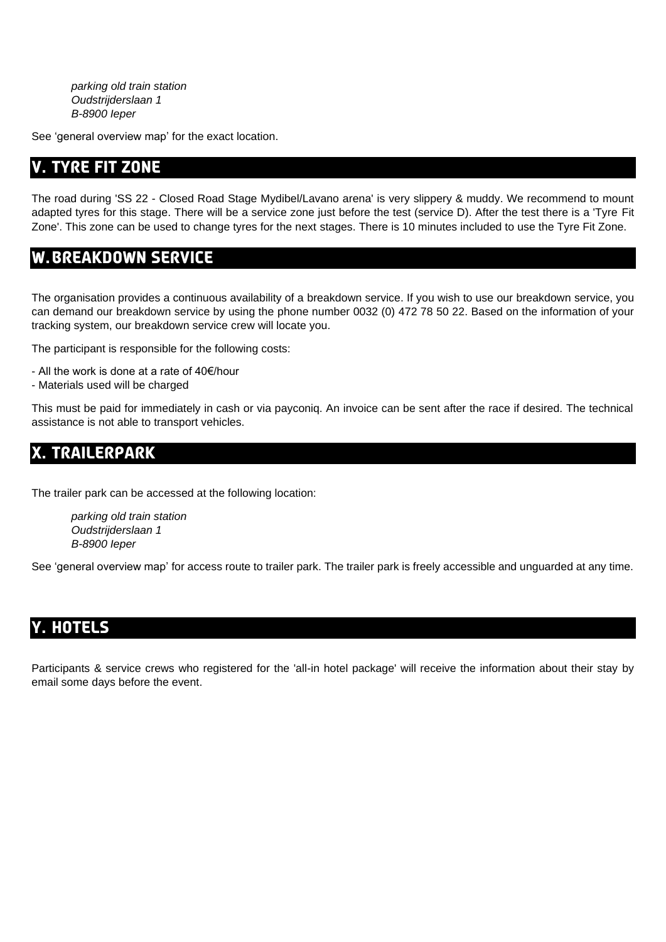*parking old train station Oudstrijderslaan 1 B-8900 Ieper*

See 'general overview map' for the exact location.

# **V. TYRE FIT ZONE**

The road during 'SS 22 - Closed Road Stage Mydibel/Lavano arena' is very slippery & muddy. We recommend to mount adapted tyres for this stage. There will be a service zone just before the test (service D). After the test there is a 'Tyre Fit Zone'. This zone can be used to change tyres for the next stages. There is 10 minutes included to use the Tyre Fit Zone.

# **W.BREAKDOWN SERVICE**

The organisation provides a continuous availability of a breakdown service. If you wish to use our breakdown service, you can demand our breakdown service by using the phone number 0032 (0) 472 78 50 22. Based on the information of your tracking system, our breakdown service crew will locate you.

The participant is responsible for the following costs:

- All the work is done at a rate of 40€/hour
- Materials used will be charged

This must be paid for immediately in cash or via payconiq. An invoice can be sent after the race if desired. The technical assistance is not able to transport vehicles.

### **X. TRAILERPARK**

The trailer park can be accessed at the following location:

*parking old train station Oudstrijderslaan 1 B-8900 Ieper*

See 'general overview map' for access route to trailer park. The trailer park is freely accessible and unguarded at any time.

### **Y. HOTELS**

Participants & service crews who registered for the 'all-in hotel package' will receive the information about their stay by email some days before the event.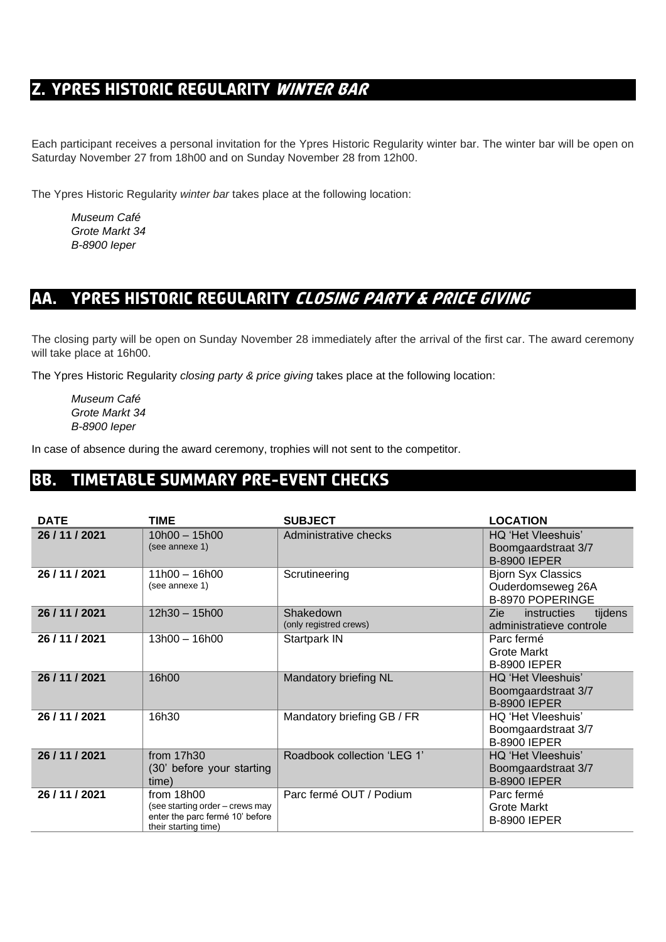# **Z. YPRES HISTORIC REGULARITY WINTER BAR**

Each participant receives a personal invitation for the Ypres Historic Regularity winter bar. The winter bar will be open on Saturday November 27 from 18h00 and on Sunday November 28 from 12h00.

The Ypres Historic Regularity *winter bar* takes place at the following location:

*Museum Café Grote Markt 34 B-8900 Ieper*

### **AA. YPRES HISTORIC REGULARITY CLOSING PARTY & PRICE GIVING**

The closing party will be open on Sunday November 28 immediately after the arrival of the first car. The award ceremony will take place at 16h00.

The Ypres Historic Regularity *closing party & price giving* takes place at the following location:

*Museum Café Grote Markt 34 B-8900 Ieper*

In case of absence during the award ceremony, trophies will not sent to the competitor.

### **BB. TIMETABLE SUMMARY PRE-EVENT CHECKS**

| <b>DATE</b>    | TIME                                                                                                     | <b>SUBJECT</b>                      | <b>LOCATION</b>                                                           |
|----------------|----------------------------------------------------------------------------------------------------------|-------------------------------------|---------------------------------------------------------------------------|
| 26 / 11 / 2021 | $10h00 - 15h00$<br>(see annexe 1)                                                                        | Administrative checks               | HQ 'Het Vleeshuis'<br>Boomgaardstraat 3/7<br><b>B-8900 IEPER</b>          |
| 26 / 11 / 2021 | $11h00 - 16h00$<br>(see annexe 1)                                                                        | Scrutineering                       | <b>Bjorn Syx Classics</b><br>Ouderdomseweg 26A<br><b>B-8970 POPERINGE</b> |
| 26 / 11 / 2021 | $12h30 - 15h00$                                                                                          | Shakedown<br>(only registred crews) | instructies<br>tijdens<br>Zie<br>administratieve controle                 |
| 26 / 11 / 2021 | $13h00 - 16h00$                                                                                          | Startpark IN                        | Parc fermé<br>Grote Markt<br><b>B-8900 IEPER</b>                          |
| 26 / 11 / 2021 | 16h00                                                                                                    | Mandatory briefing NL               | HQ 'Het Vleeshuis'<br>Boomgaardstraat 3/7<br><b>B-8900 IEPER</b>          |
| 26 / 11 / 2021 | 16h30                                                                                                    | Mandatory briefing GB / FR          | HQ 'Het Vleeshuis'<br>Boomgaardstraat 3/7<br><b>B-8900 IEPER</b>          |
| 26 / 11 / 2021 | from 17h30<br>(30' before your starting<br>time)                                                         | Roadbook collection 'LEG 1'         | HQ 'Het Vleeshuis'<br>Boomgaardstraat 3/7<br><b>B-8900 IEPER</b>          |
| 26 / 11 / 2021 | from 18h00<br>(see starting order – crews may<br>enter the parc fermé 10' before<br>their starting time) | Parc fermé OUT / Podium             | Parc fermé<br><b>Grote Markt</b><br><b>B-8900 IEPER</b>                   |